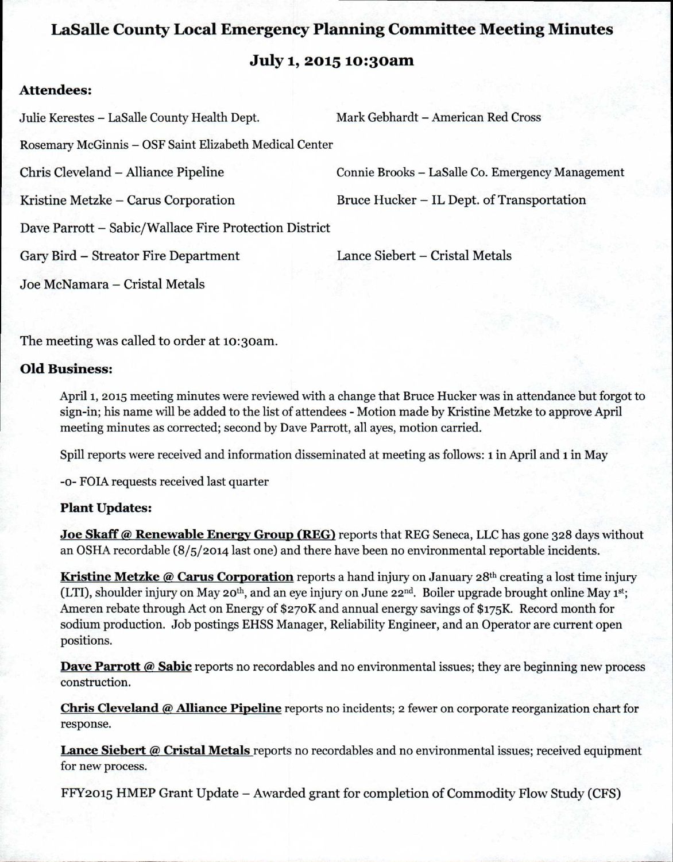# **LaSalle County Local Emergency Planning Committee Meeting Minutes July 1, 2015 io:3oam**

# **Attendees:**

Julie Kerestes — LaSalle County Health Dept. Mark Gebhardt — American Red Cross Rosemary McGinnis — OSF Saint Elizabeth Medical Center Chris Cleveland - Alliance Pipeline Connie Brooks — LaSalle Co. Emergency Management Kristine Metzke – Carus Corporation Bruce Hucker – IL Dept. of Transportation Dave Parrott - Sabic/Wallace Fire Protection District Gary Bird - Streator Fire Department Lance Siebert - Cristal Metals Joe McNamara - Cristal Metals

The meeting was called to order at 10:30am.

## **Old Business:**

April 1, 2015 meeting minutes were reviewed with a change that Bruce Hucker was in attendance but forgot to sign-in; his name will be added to the list of attendees - Motion made by Kristine Metzke to approve April meeting minutes as corrected; second by Dave Parrott, all ayes, motion carried.

Spill reports were received and information disseminated at meeting as follows: 1 in April and 1 in May

-o- FOIA requests received last quarter

## **Plant Updates:**

**Joe Skaff @ Renewable Energy Group (REG)** reports that REG Seneca, LLC has gone 328 days without an OSHA recordable (8/5/2014 last one) and there have been no environmental reportable incidents.

**Kristine Metzke @ Carus Corporation** reports a hand injury on January 28<sup>th</sup> creating a lost time injury (LTI), shoulder injury on May 20<sup>th</sup>, and an eye injury on June 22<sup>nd</sup>. Boiler upgrade brought online May 1<sup>st</sup>; Ameren rebate through Act on Energy of \$27oK and annual energy savings of \$175K. Record month for sodium production. Job postings EHSS Manager, Reliability Engineer, and an Operator are current open positions.

**Dave Parrott @ Sabic** reports no recordables and no environmental issues; they are beginning new process construction.

**Chris Cleveland @ Alliance Pipeline** reports no incidents; 2 fewer on corporate reorganization chart for response.

**Lance Siebert @ Cristal Metals** reports no recordables and no environmental issues; received equipment for new process.

FFY2015 HMEP Grant Update - Awarded grant for completion of Commodity Flow Study (CFS)